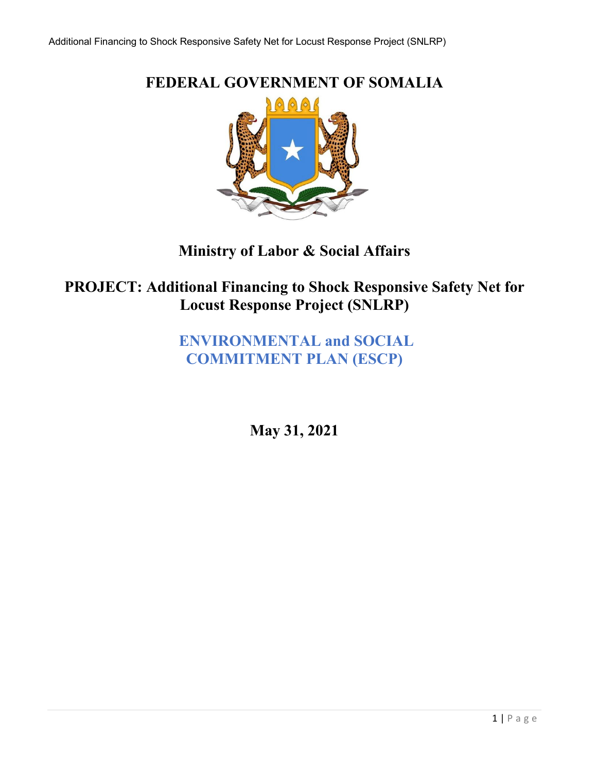**FEDERAL GOVERNMENT OF SOMALIA**  $\Theta$   $\Theta$   $\Theta$ 

**Ministry of Labor & Social Affairs**

**PROJECT: Additional Financing to Shock Responsive Safety Net for Locust Response Project (SNLRP)**

> **ENVIRONMENTAL and SOCIAL COMMITMENT PLAN (ESCP)**

> > **May 31, 2021**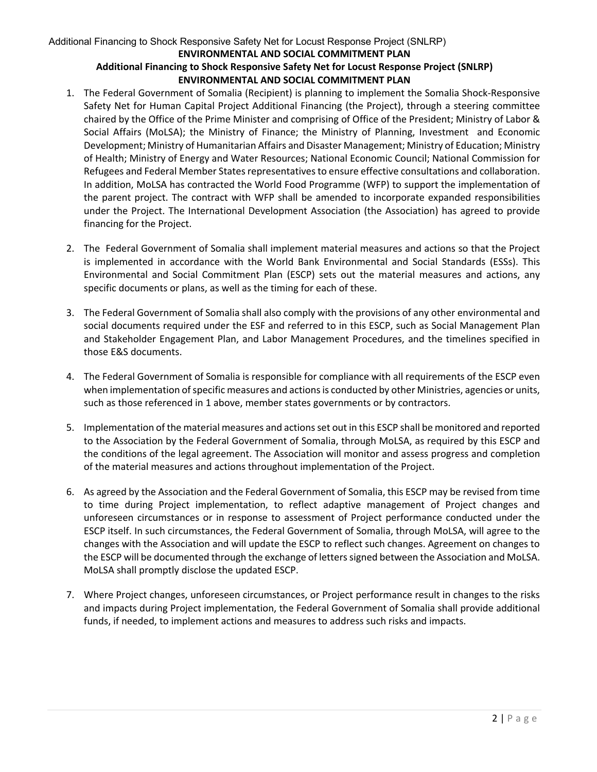#### Additional Financing to Shock Responsive Safety Net for Locust Response Project (SNLRP) **ENVIRONMENTAL AND SOCIAL COMMITMENT PLAN Additional Financing to Shock Responsive Safety Net for Locust Response Project (SNLRP)**

#### **ENVIRONMENTAL AND SOCIAL COMMITMENT PLAN**

- 1. The Federal Government of Somalia (Recipient) is planning to implement the Somalia Shock-Responsive Safety Net for Human Capital Project Additional Financing (the Project), through a steering committee chaired by the Office of the Prime Minister and comprising of Office of the President; Ministry of Labor & Social Affairs (MoLSA); the Ministry of Finance; the Ministry of Planning, Investment and Economic Development; Ministry of Humanitarian Affairs and Disaster Management; Ministry of Education; Ministry of Health; Ministry of Energy and Water Resources; National Economic Council; National Commission for Refugees and Federal Member States representatives to ensure effective consultations and collaboration. In addition, MoLSA has contracted the World Food Programme (WFP) to support the implementation of the parent project. The contract with WFP shall be amended to incorporate expanded responsibilities under the Project. The International Development Association (the Association) has agreed to provide financing for the Project.
- 2. The Federal Government of Somalia shall implement material measures and actions so that the Project is implemented in accordance with the World Bank Environmental and Social Standards (ESSs). This Environmental and Social Commitment Plan (ESCP) sets out the material measures and actions, any specific documents or plans, as well as the timing for each of these.
- 3. The Federal Government of Somalia shall also comply with the provisions of any other environmental and social documents required under the ESF and referred to in this ESCP, such as Social Management Plan and Stakeholder Engagement Plan, and Labor Management Procedures, and the timelines specified in those E&S documents.
- 4. The Federal Government of Somalia is responsible for compliance with all requirements of the ESCP even when implementation of specific measures and actions is conducted by other Ministries, agencies or units, such as those referenced in 1 above, member states governments or by contractors.
- 5. Implementation of the material measures and actions set out in this ESCP shall be monitored and reported to the Association by the Federal Government of Somalia, through MoLSA, as required by this ESCP and the conditions of the legal agreement. The Association will monitor and assess progress and completion of the material measures and actions throughout implementation of the Project.
- 6. As agreed by the Association and the Federal Government of Somalia, this ESCP may be revised from time to time during Project implementation, to reflect adaptive management of Project changes and unforeseen circumstances or in response to assessment of Project performance conducted under the ESCP itself. In such circumstances, the Federal Government of Somalia, through MoLSA, will agree to the changes with the Association and will update the ESCP to reflect such changes. Agreement on changes to the ESCP will be documented through the exchange of letters signed between the Association and MoLSA. MoLSA shall promptly disclose the updated ESCP.
- 7. Where Project changes, unforeseen circumstances, or Project performance result in changes to the risks and impacts during Project implementation, the Federal Government of Somalia shall provide additional funds, if needed, to implement actions and measures to address such risks and impacts.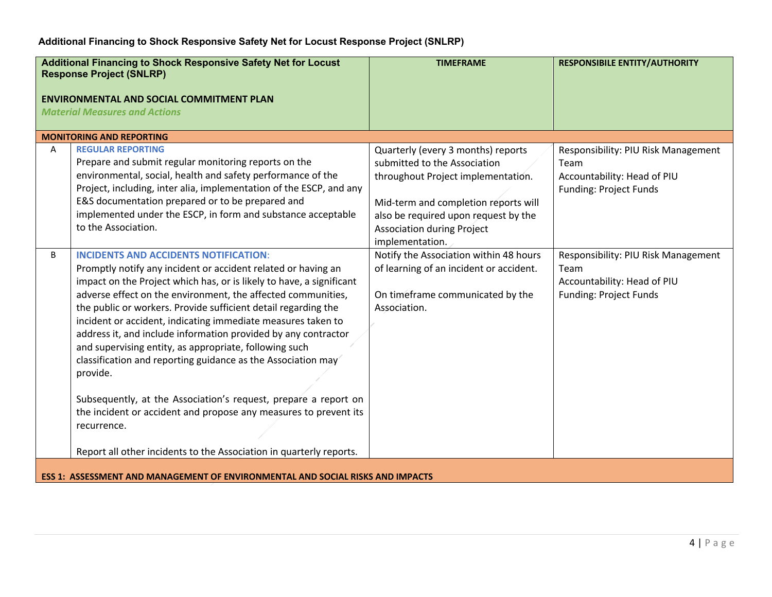|   | <b>Additional Financing to Shock Responsive Safety Net for Locust</b><br><b>Response Project (SNLRP)</b><br><b>ENVIRONMENTAL AND SOCIAL COMMITMENT PLAN</b><br><b>Material Measures and Actions</b>                                                                                                                                                                                                                                                                                                                                                                                                                                                                                                                                                                                                                          | <b>TIMEFRAME</b>                                                                                                                                                                                                                                 | <b>RESPONSIBILE ENTITY/AUTHORITY</b>                                                                        |
|---|------------------------------------------------------------------------------------------------------------------------------------------------------------------------------------------------------------------------------------------------------------------------------------------------------------------------------------------------------------------------------------------------------------------------------------------------------------------------------------------------------------------------------------------------------------------------------------------------------------------------------------------------------------------------------------------------------------------------------------------------------------------------------------------------------------------------------|--------------------------------------------------------------------------------------------------------------------------------------------------------------------------------------------------------------------------------------------------|-------------------------------------------------------------------------------------------------------------|
|   | <b>MONITORING AND REPORTING</b>                                                                                                                                                                                                                                                                                                                                                                                                                                                                                                                                                                                                                                                                                                                                                                                              |                                                                                                                                                                                                                                                  |                                                                                                             |
| A | <b>REGULAR REPORTING</b><br>Prepare and submit regular monitoring reports on the<br>environmental, social, health and safety performance of the<br>Project, including, inter alia, implementation of the ESCP, and any<br>E&S documentation prepared or to be prepared and<br>implemented under the ESCP, in form and substance acceptable<br>to the Association.                                                                                                                                                                                                                                                                                                                                                                                                                                                            | Quarterly (every 3 months) reports<br>submitted to the Association<br>throughout Project implementation.<br>Mid-term and completion reports will<br>also be required upon request by the<br><b>Association during Project</b><br>implementation. | Responsibility: PIU Risk Management<br>Team<br>Accountability: Head of PIU<br><b>Funding: Project Funds</b> |
| B | <b>INCIDENTS AND ACCIDENTS NOTIFICATION:</b><br>Promptly notify any incident or accident related or having an<br>impact on the Project which has, or is likely to have, a significant<br>adverse effect on the environment, the affected communities,<br>the public or workers. Provide sufficient detail regarding the<br>incident or accident, indicating immediate measures taken to<br>address it, and include information provided by any contractor<br>and supervising entity, as appropriate, following such<br>classification and reporting guidance as the Association may<br>provide.<br>Subsequently, at the Association's request, prepare a report on<br>the incident or accident and propose any measures to prevent its<br>recurrence.<br>Report all other incidents to the Association in quarterly reports. | Notify the Association within 48 hours<br>of learning of an incident or accident.<br>On timeframe communicated by the<br>Association.                                                                                                            | Responsibility: PIU Risk Management<br>Team<br>Accountability: Head of PIU<br>Funding: Project Funds        |
|   | <b>ESS 1: ASSESSMENT AND MANAGEMENT OF ENVIRONMENTAL AND SOCIAL RISKS AND IMPACTS</b>                                                                                                                                                                                                                                                                                                                                                                                                                                                                                                                                                                                                                                                                                                                                        |                                                                                                                                                                                                                                                  |                                                                                                             |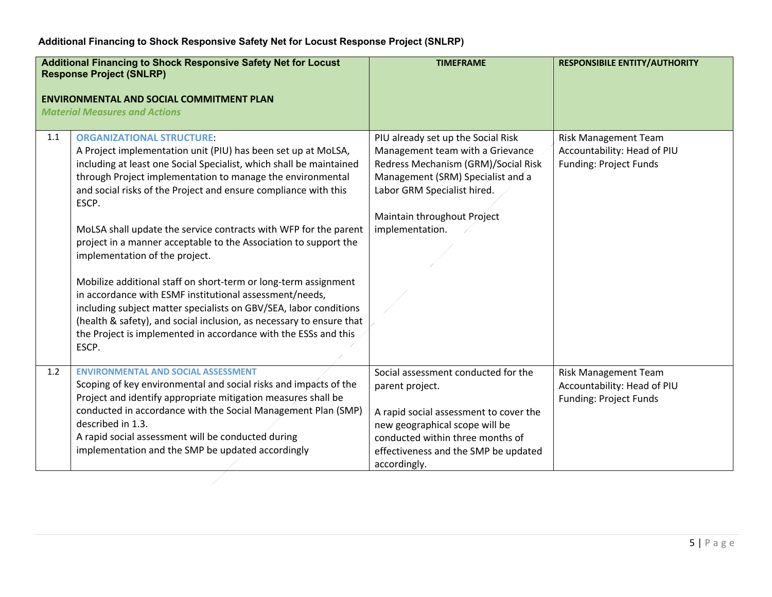|     | <b>Additional Financing to Shock Responsive Safety Net for Locust</b><br><b>Response Project (SNLRP)</b><br><b>ENVIRONMENTAL AND SOCIAL COMMITMENT PLAN</b><br><b>Material Measures and Actions</b>                                                                                                                                                                                                                                                                                                                                                                                                                                                                                                                                                                                                                                                 | <b>TIMEFRAME</b>                                                                                                                                                                                                                    | <b>RESPONSIBILE ENTITY/AUTHORITY</b>                                                        |
|-----|-----------------------------------------------------------------------------------------------------------------------------------------------------------------------------------------------------------------------------------------------------------------------------------------------------------------------------------------------------------------------------------------------------------------------------------------------------------------------------------------------------------------------------------------------------------------------------------------------------------------------------------------------------------------------------------------------------------------------------------------------------------------------------------------------------------------------------------------------------|-------------------------------------------------------------------------------------------------------------------------------------------------------------------------------------------------------------------------------------|---------------------------------------------------------------------------------------------|
| 1.1 | <b>ORGANIZATIONAL STRUCTURE:</b><br>A Project implementation unit (PIU) has been set up at MoLSA,<br>including at least one Social Specialist, which shall be maintained<br>through Project implementation to manage the environmental<br>and social risks of the Project and ensure compliance with this<br>ESCP.<br>MoLSA shall update the service contracts with WFP for the parent<br>project in a manner acceptable to the Association to support the<br>implementation of the project.<br>Mobilize additional staff on short-term or long-term assignment<br>in accordance with ESMF institutional assessment/needs,<br>including subject matter specialists on GBV/SEA, labor conditions<br>(health & safety), and social inclusion, as necessary to ensure that<br>the Project is implemented in accordance with the ESSs and this<br>ESCP. | PIU already set up the Social Risk<br>Management team with a Grievance<br>Redress Mechanism (GRM)/Social Risk<br>Management (SRM) Specialist and a<br>Labor GRM Specialist hired.<br>Maintain throughout Project<br>implementation. | Risk Management Team<br>Accountability: Head of PIU<br><b>Funding: Project Funds</b>        |
| 1.2 | <b>ENVIRONMENTAL AND SOCIAL ASSESSMENT</b><br>Scoping of key environmental and social risks and impacts of the<br>Project and identify appropriate mitigation measures shall be<br>conducted in accordance with the Social Management Plan (SMP)<br>described in 1.3.<br>A rapid social assessment will be conducted during<br>implementation and the SMP be updated accordingly                                                                                                                                                                                                                                                                                                                                                                                                                                                                    | Social assessment conducted for the<br>parent project.<br>A rapid social assessment to cover the<br>new geographical scope will be<br>conducted within three months of<br>effectiveness and the SMP be updated<br>accordingly.      | <b>Risk Management Team</b><br>Accountability: Head of PIU<br><b>Funding: Project Funds</b> |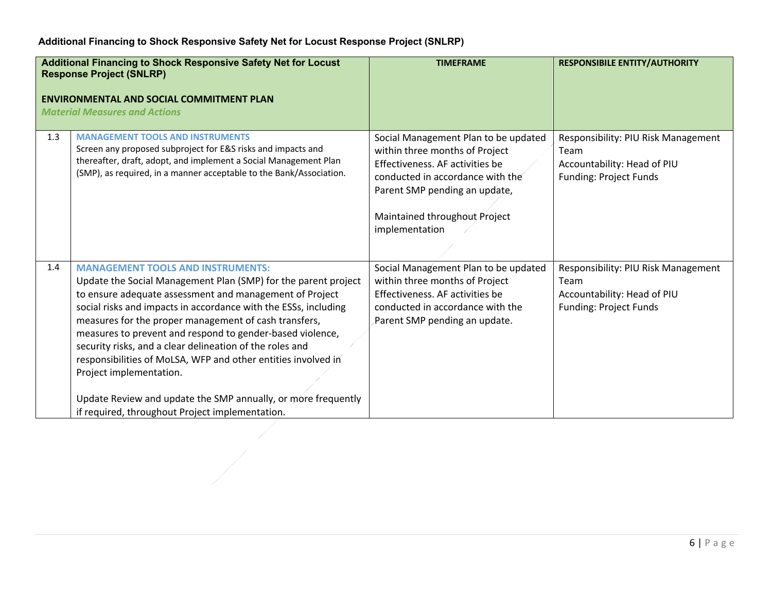| <b>Additional Financing to Shock Responsive Safety Net for Locust</b><br><b>Response Project (SNLRP)</b><br><b>ENVIRONMENTAL AND SOCIAL COMMITMENT PLAN</b><br><b>Material Measures and Actions</b> |                                                                                                                                                                                                                                                                                                                                                                                                                                                                                                                                                                                                                                            | <b>TIMEFRAME</b>                                                                                                                                                                                                                  | <b>RESPONSIBILE ENTITY/AUTHORITY</b>                                                                        |
|-----------------------------------------------------------------------------------------------------------------------------------------------------------------------------------------------------|--------------------------------------------------------------------------------------------------------------------------------------------------------------------------------------------------------------------------------------------------------------------------------------------------------------------------------------------------------------------------------------------------------------------------------------------------------------------------------------------------------------------------------------------------------------------------------------------------------------------------------------------|-----------------------------------------------------------------------------------------------------------------------------------------------------------------------------------------------------------------------------------|-------------------------------------------------------------------------------------------------------------|
| 1.3                                                                                                                                                                                                 | <b>MANAGEMENT TOOLS AND INSTRUMENTS</b><br>Screen any proposed subproject for E&S risks and impacts and<br>thereafter, draft, adopt, and implement a Social Management Plan<br>(SMP), as required, in a manner acceptable to the Bank/Association.                                                                                                                                                                                                                                                                                                                                                                                         | Social Management Plan to be updated<br>within three months of Project<br>Effectiveness. AF activities be<br>conducted in accordance with the<br>Parent SMP pending an update,<br>Maintained throughout Project<br>implementation | Responsibility: PIU Risk Management<br>Team<br>Accountability: Head of PIU<br>Funding: Project Funds        |
| 1.4                                                                                                                                                                                                 | <b>MANAGEMENT TOOLS AND INSTRUMENTS:</b><br>Update the Social Management Plan (SMP) for the parent project<br>to ensure adequate assessment and management of Project<br>social risks and impacts in accordance with the ESSs, including<br>measures for the proper management of cash transfers,<br>measures to prevent and respond to gender-based violence,<br>security risks, and a clear delineation of the roles and<br>responsibilities of MoLSA, WFP and other entities involved in<br>Project implementation.<br>Update Review and update the SMP annually, or more frequently<br>if required, throughout Project implementation. | Social Management Plan to be updated<br>within three months of Project<br>Effectiveness. AF activities be<br>conducted in accordance with the<br>Parent SMP pending an update.                                                    | Responsibility: PIU Risk Management<br>Team<br>Accountability: Head of PIU<br><b>Funding: Project Funds</b> |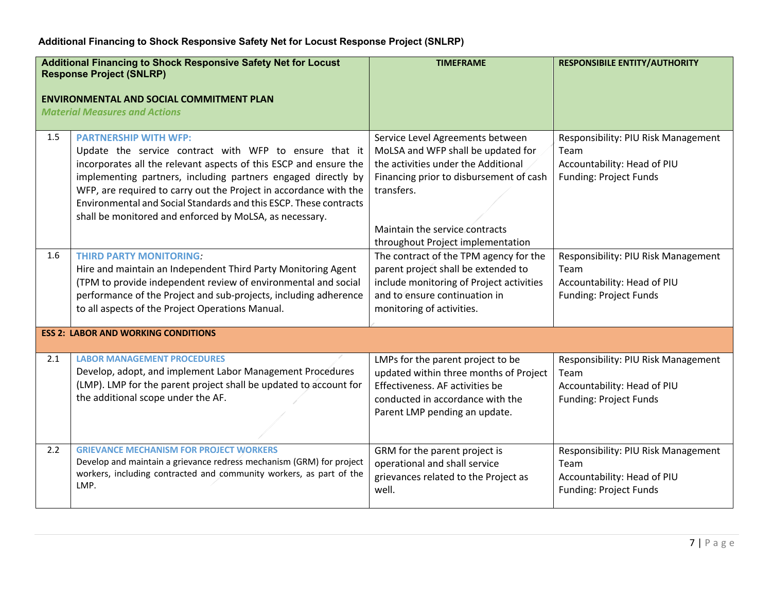|     | <b>Additional Financing to Shock Responsive Safety Net for Locust</b><br><b>Response Project (SNLRP)</b><br><b>ENVIRONMENTAL AND SOCIAL COMMITMENT PLAN</b><br><b>Material Measures and Actions</b>                                                                                                                                                                                                                               | <b>TIMEFRAME</b>                                                                                                                                                                                                                              | <b>RESPONSIBILE ENTITY/AUTHORITY</b>                                                                        |
|-----|-----------------------------------------------------------------------------------------------------------------------------------------------------------------------------------------------------------------------------------------------------------------------------------------------------------------------------------------------------------------------------------------------------------------------------------|-----------------------------------------------------------------------------------------------------------------------------------------------------------------------------------------------------------------------------------------------|-------------------------------------------------------------------------------------------------------------|
| 1.5 | <b>PARTNERSHIP WITH WFP:</b><br>Update the service contract with WFP to ensure that it<br>incorporates all the relevant aspects of this ESCP and ensure the<br>implementing partners, including partners engaged directly by<br>WFP, are required to carry out the Project in accordance with the<br>Environmental and Social Standards and this ESCP. These contracts<br>shall be monitored and enforced by MoLSA, as necessary. | Service Level Agreements between<br>MoLSA and WFP shall be updated for<br>the activities under the Additional<br>Financing prior to disbursement of cash<br>transfers.<br>Maintain the service contracts<br>throughout Project implementation | Responsibility: PIU Risk Management<br>Team<br>Accountability: Head of PIU<br><b>Funding: Project Funds</b> |
| 1.6 | <b>THIRD PARTY MONITORING:</b><br>Hire and maintain an Independent Third Party Monitoring Agent<br>(TPM to provide independent review of environmental and social<br>performance of the Project and sub-projects, including adherence<br>to all aspects of the Project Operations Manual.                                                                                                                                         | The contract of the TPM agency for the<br>parent project shall be extended to<br>include monitoring of Project activities<br>and to ensure continuation in<br>monitoring of activities.                                                       | Responsibility: PIU Risk Management<br>Team<br>Accountability: Head of PIU<br><b>Funding: Project Funds</b> |
|     | <b>ESS 2: LABOR AND WORKING CONDITIONS</b>                                                                                                                                                                                                                                                                                                                                                                                        |                                                                                                                                                                                                                                               |                                                                                                             |
| 2.1 | <b>LABOR MANAGEMENT PROCEDURES</b><br>Develop, adopt, and implement Labor Management Procedures<br>(LMP). LMP for the parent project shall be updated to account for<br>the additional scope under the AF.                                                                                                                                                                                                                        | LMPs for the parent project to be<br>updated within three months of Project<br>Effectiveness. AF activities be<br>conducted in accordance with the<br>Parent LMP pending an update.                                                           | Responsibility: PIU Risk Management<br>Team<br>Accountability: Head of PIU<br><b>Funding: Project Funds</b> |
| 2.2 | <b>GRIEVANCE MECHANISM FOR PROJECT WORKERS</b><br>Develop and maintain a grievance redress mechanism (GRM) for project<br>workers, including contracted and community workers, as part of the<br>LMP.                                                                                                                                                                                                                             | GRM for the parent project is<br>operational and shall service<br>grievances related to the Project as<br>well.                                                                                                                               | Responsibility: PIU Risk Management<br>Team<br>Accountability: Head of PIU<br><b>Funding: Project Funds</b> |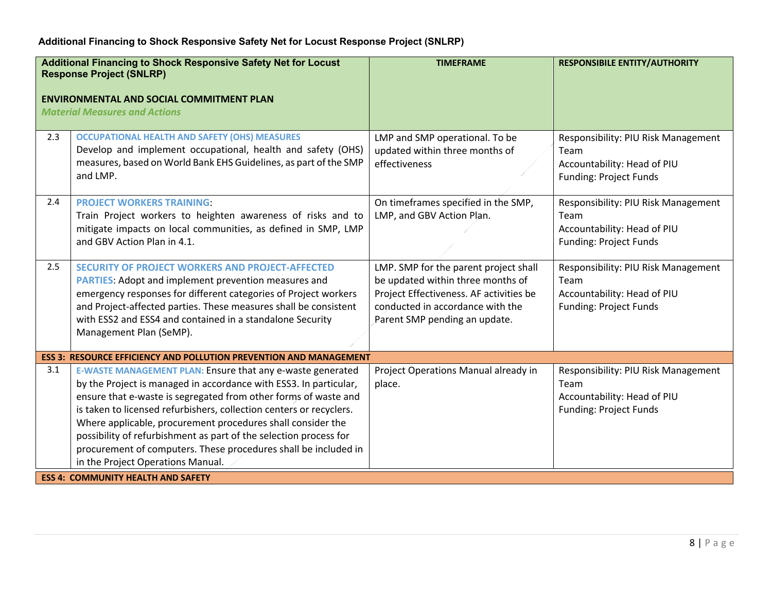| <b>Additional Financing to Shock Responsive Safety Net for Locust</b><br><b>Response Project (SNLRP)</b> |                                                                                                                                                                                                                                                                                                                                                                                                                                                                                                                       | <b>TIMEFRAME</b>                                                                                                                                                                           | <b>RESPONSIBILE ENTITY/AUTHORITY</b>                                                                        |
|----------------------------------------------------------------------------------------------------------|-----------------------------------------------------------------------------------------------------------------------------------------------------------------------------------------------------------------------------------------------------------------------------------------------------------------------------------------------------------------------------------------------------------------------------------------------------------------------------------------------------------------------|--------------------------------------------------------------------------------------------------------------------------------------------------------------------------------------------|-------------------------------------------------------------------------------------------------------------|
|                                                                                                          | <b>ENVIRONMENTAL AND SOCIAL COMMITMENT PLAN</b><br><b>Material Measures and Actions</b>                                                                                                                                                                                                                                                                                                                                                                                                                               |                                                                                                                                                                                            |                                                                                                             |
| 2.3                                                                                                      | <b>OCCUPATIONAL HEALTH AND SAFETY (OHS) MEASURES</b><br>Develop and implement occupational, health and safety (OHS)<br>measures, based on World Bank EHS Guidelines, as part of the SMP<br>and LMP.                                                                                                                                                                                                                                                                                                                   | LMP and SMP operational. To be<br>updated within three months of<br>effectiveness                                                                                                          | Responsibility: PIU Risk Management<br>Team<br>Accountability: Head of PIU<br><b>Funding: Project Funds</b> |
| 2.4                                                                                                      | <b>PROJECT WORKERS TRAINING:</b><br>Train Project workers to heighten awareness of risks and to<br>mitigate impacts on local communities, as defined in SMP, LMP<br>and GBV Action Plan in 4.1.                                                                                                                                                                                                                                                                                                                       | On timeframes specified in the SMP,<br>LMP, and GBV Action Plan.                                                                                                                           | Responsibility: PIU Risk Management<br>Team<br>Accountability: Head of PIU<br><b>Funding: Project Funds</b> |
| 2.5                                                                                                      | <b>SECURITY OF PROJECT WORKERS AND PROJECT-AFFECTED</b><br><b>PARTIES:</b> Adopt and implement prevention measures and<br>emergency responses for different categories of Project workers<br>and Project-affected parties. These measures shall be consistent<br>with ESS2 and ESS4 and contained in a standalone Security<br>Management Plan (SeMP).                                                                                                                                                                 | LMP. SMP for the parent project shall<br>be updated within three months of<br>Project Effectiveness. AF activities be<br>conducted in accordance with the<br>Parent SMP pending an update. | Responsibility: PIU Risk Management<br>Team<br>Accountability: Head of PIU<br><b>Funding: Project Funds</b> |
|                                                                                                          | <b>ESS 3: RESOURCE EFFICIENCY AND POLLUTION PREVENTION AND MANAGEMENT</b>                                                                                                                                                                                                                                                                                                                                                                                                                                             |                                                                                                                                                                                            |                                                                                                             |
| 3.1                                                                                                      | E-WASTE MANAGEMENT PLAN: Ensure that any e-waste generated<br>by the Project is managed in accordance with ESS3. In particular,<br>ensure that e-waste is segregated from other forms of waste and<br>is taken to licensed refurbishers, collection centers or recyclers.<br>Where applicable, procurement procedures shall consider the<br>possibility of refurbishment as part of the selection process for<br>procurement of computers. These procedures shall be included in<br>in the Project Operations Manual. | Project Operations Manual already in<br>place.                                                                                                                                             | Responsibility: PIU Risk Management<br>Team<br>Accountability: Head of PIU<br><b>Funding: Project Funds</b> |
|                                                                                                          | <b>ESS 4: COMMUNITY HEALTH AND SAFETY</b>                                                                                                                                                                                                                                                                                                                                                                                                                                                                             |                                                                                                                                                                                            |                                                                                                             |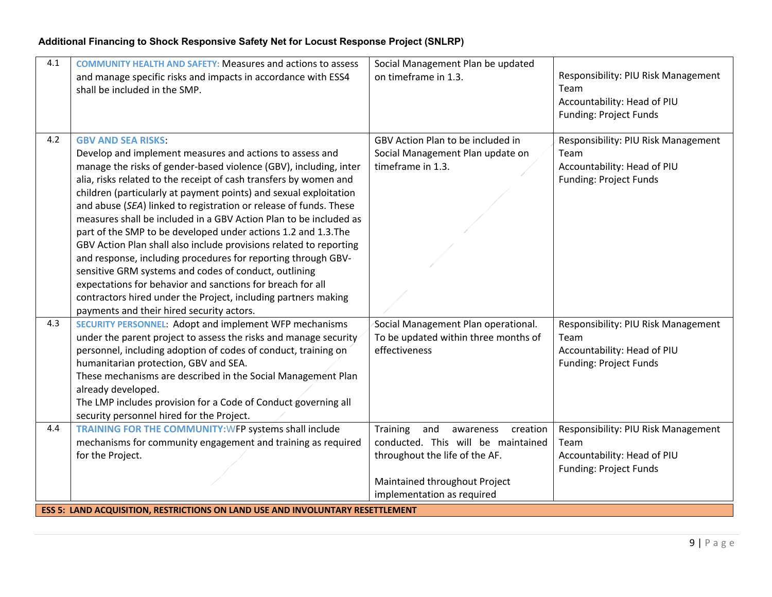| 4.1 | <b>COMMUNITY HEALTH AND SAFETY: Measures and actions to assess</b><br>and manage specific risks and impacts in accordance with ESS4<br>shall be included in the SMP.                                                                                                                                                                                                                                                                                                                                                                                                                                                                                                                                                                                                                                                                                                                          | Social Management Plan be updated<br>on timeframe in 1.3.                                                                                                                       | Responsibility: PIU Risk Management<br>Team<br>Accountability: Head of PIU<br><b>Funding: Project Funds</b> |
|-----|-----------------------------------------------------------------------------------------------------------------------------------------------------------------------------------------------------------------------------------------------------------------------------------------------------------------------------------------------------------------------------------------------------------------------------------------------------------------------------------------------------------------------------------------------------------------------------------------------------------------------------------------------------------------------------------------------------------------------------------------------------------------------------------------------------------------------------------------------------------------------------------------------|---------------------------------------------------------------------------------------------------------------------------------------------------------------------------------|-------------------------------------------------------------------------------------------------------------|
| 4.2 | <b>GBV AND SEA RISKS:</b><br>Develop and implement measures and actions to assess and<br>manage the risks of gender-based violence (GBV), including, inter<br>alia, risks related to the receipt of cash transfers by women and<br>children (particularly at payment points) and sexual exploitation<br>and abuse (SEA) linked to registration or release of funds. These<br>measures shall be included in a GBV Action Plan to be included as<br>part of the SMP to be developed under actions 1.2 and 1.3. The<br>GBV Action Plan shall also include provisions related to reporting<br>and response, including procedures for reporting through GBV-<br>sensitive GRM systems and codes of conduct, outlining<br>expectations for behavior and sanctions for breach for all<br>contractors hired under the Project, including partners making<br>payments and their hired security actors. | GBV Action Plan to be included in<br>Social Management Plan update on<br>timeframe in 1.3.                                                                                      | Responsibility: PIU Risk Management<br>Team<br>Accountability: Head of PIU<br><b>Funding: Project Funds</b> |
| 4.3 | SECURITY PERSONNEL: Adopt and implement WFP mechanisms<br>under the parent project to assess the risks and manage security<br>personnel, including adoption of codes of conduct, training on<br>humanitarian protection, GBV and SEA.<br>These mechanisms are described in the Social Management Plan<br>already developed.<br>The LMP includes provision for a Code of Conduct governing all<br>security personnel hired for the Project.                                                                                                                                                                                                                                                                                                                                                                                                                                                    | Social Management Plan operational.<br>To be updated within three months of<br>effectiveness                                                                                    | Responsibility: PIU Risk Management<br>Team<br>Accountability: Head of PIU<br>Funding: Project Funds        |
| 4.4 | TRAINING FOR THE COMMUNITY: WFP systems shall include<br>mechanisms for community engagement and training as required<br>for the Project.                                                                                                                                                                                                                                                                                                                                                                                                                                                                                                                                                                                                                                                                                                                                                     | Training<br>and<br>creation<br>awareness<br>conducted. This will be maintained<br>throughout the life of the AF.<br>Maintained throughout Project<br>implementation as required | Responsibility: PIU Risk Management<br>Team<br>Accountability: Head of PIU<br><b>Funding: Project Funds</b> |
|     | <b>ESS 5: LAND ACQUISITION, RESTRICTIONS ON LAND USE AND INVOLUNTARY RESETTLEMENT</b>                                                                                                                                                                                                                                                                                                                                                                                                                                                                                                                                                                                                                                                                                                                                                                                                         |                                                                                                                                                                                 |                                                                                                             |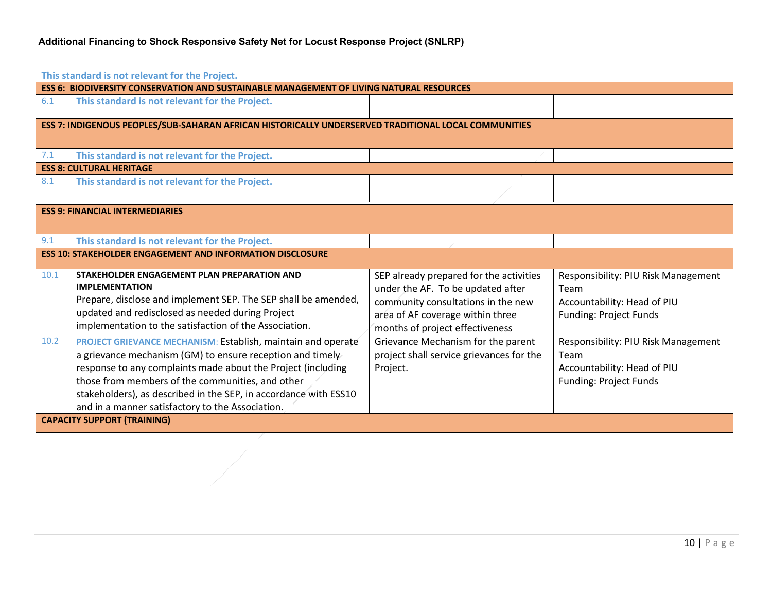| This standard is not relevant for the Project.<br><b>ESS 6: BIODIVERSITY CONSERVATION AND SUSTAINABLE MANAGEMENT OF LIVING NATURAL RESOURCES</b> |                                                                                                                                                                                                                                                                                                                                                                              |                                                                                                                                                                                           |                                                                                                             |  |
|--------------------------------------------------------------------------------------------------------------------------------------------------|------------------------------------------------------------------------------------------------------------------------------------------------------------------------------------------------------------------------------------------------------------------------------------------------------------------------------------------------------------------------------|-------------------------------------------------------------------------------------------------------------------------------------------------------------------------------------------|-------------------------------------------------------------------------------------------------------------|--|
| 6.1                                                                                                                                              | This standard is not relevant for the Project.                                                                                                                                                                                                                                                                                                                               |                                                                                                                                                                                           |                                                                                                             |  |
|                                                                                                                                                  | ESS 7: INDIGENOUS PEOPLES/SUB-SAHARAN AFRICAN HISTORICALLY UNDERSERVED TRADITIONAL LOCAL COMMUNITIES                                                                                                                                                                                                                                                                         |                                                                                                                                                                                           |                                                                                                             |  |
| 7.1                                                                                                                                              | This standard is not relevant for the Project.                                                                                                                                                                                                                                                                                                                               |                                                                                                                                                                                           |                                                                                                             |  |
|                                                                                                                                                  | <b>ESS 8: CULTURAL HERITAGE</b>                                                                                                                                                                                                                                                                                                                                              |                                                                                                                                                                                           |                                                                                                             |  |
| 8.1                                                                                                                                              | This standard is not relevant for the Project.                                                                                                                                                                                                                                                                                                                               |                                                                                                                                                                                           |                                                                                                             |  |
| <b>ESS 9: FINANCIAL INTERMEDIARIES</b>                                                                                                           |                                                                                                                                                                                                                                                                                                                                                                              |                                                                                                                                                                                           |                                                                                                             |  |
| 9.1                                                                                                                                              | This standard is not relevant for the Project.                                                                                                                                                                                                                                                                                                                               |                                                                                                                                                                                           |                                                                                                             |  |
|                                                                                                                                                  | <b>ESS 10: STAKEHOLDER ENGAGEMENT AND INFORMATION DISCLOSURE</b>                                                                                                                                                                                                                                                                                                             |                                                                                                                                                                                           |                                                                                                             |  |
| 10.1                                                                                                                                             | STAKEHOLDER ENGAGEMENT PLAN PREPARATION AND<br><b>IMPLEMENTATION</b><br>Prepare, disclose and implement SEP. The SEP shall be amended,<br>updated and redisclosed as needed during Project<br>implementation to the satisfaction of the Association.                                                                                                                         | SEP already prepared for the activities<br>under the AF. To be updated after<br>community consultations in the new<br>area of AF coverage within three<br>months of project effectiveness | Responsibility: PIU Risk Management<br>Team<br>Accountability: Head of PIU<br><b>Funding: Project Funds</b> |  |
| 10.2                                                                                                                                             | <b>PROJECT GRIEVANCE MECHANISM: Establish, maintain and operate</b><br>a grievance mechanism (GM) to ensure reception and timely<br>response to any complaints made about the Project (including<br>those from members of the communities, and other<br>stakeholders), as described in the SEP, in accordance with ESS10<br>and in a manner satisfactory to the Association. | Grievance Mechanism for the parent<br>project shall service grievances for the<br>Project.                                                                                                | Responsibility: PIU Risk Management<br>Team<br>Accountability: Head of PIU<br><b>Funding: Project Funds</b> |  |
|                                                                                                                                                  | <b>CAPACITY SUPPORT (TRAINING)</b>                                                                                                                                                                                                                                                                                                                                           |                                                                                                                                                                                           |                                                                                                             |  |